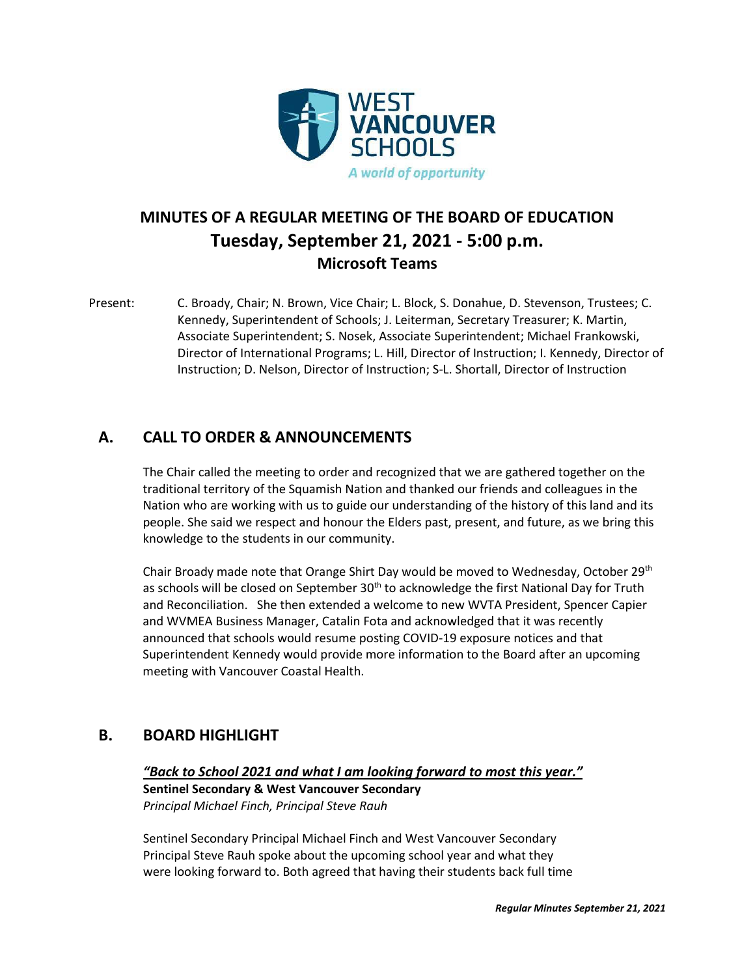

# **MINUTES OF A REGULAR MEETING OF THE BOARD OF EDUCATION Tuesday, September 21, 2021 - 5:00 p.m. Microsoft Teams**

Present: C. Broady, Chair; N. Brown, Vice Chair; L. Block, S. Donahue, D. Stevenson, Trustees; C. Kennedy, Superintendent of Schools; J. Leiterman, Secretary Treasurer; K. Martin, Associate Superintendent; S. Nosek, Associate Superintendent; Michael Frankowski, Director of International Programs; L. Hill, Director of Instruction; I. Kennedy, Director of Instruction; D. Nelson, Director of Instruction; S-L. Shortall, Director of Instruction

## **A. CALL TO ORDER & ANNOUNCEMENTS**

The Chair called the meeting to order and recognized that we are gathered together on the traditional territory of the Squamish Nation and thanked our friends and colleagues in the Nation who are working with us to guide our understanding of the history of this land and its people. She said we respect and honour the Elders past, present, and future, as we bring this knowledge to the students in our community.

Chair Broady made note that Orange Shirt Day would be moved to Wednesday, October 29<sup>th</sup> as schools will be closed on September  $30<sup>th</sup>$  to acknowledge the first National Day for Truth and Reconciliation. She then extended a welcome to new WVTA President, Spencer Capier and WVMEA Business Manager, Catalin Fota and acknowledged that it was recently announced that schools would resume posting COVID-19 exposure notices and that Superintendent Kennedy would provide more information to the Board after an upcoming meeting with Vancouver Coastal Health.

## **B. BOARD HIGHLIGHT**

### *"Back to School 2021 and what I am looking forward to most this year."*

**Sentinel Secondary & West Vancouver Secondary** *Principal Michael Finch, Principal Steve Rauh*

Sentinel Secondary Principal Michael Finch and West Vancouver Secondary Principal Steve Rauh spoke about the upcoming school year and what they were looking forward to. Both agreed that having their students back full time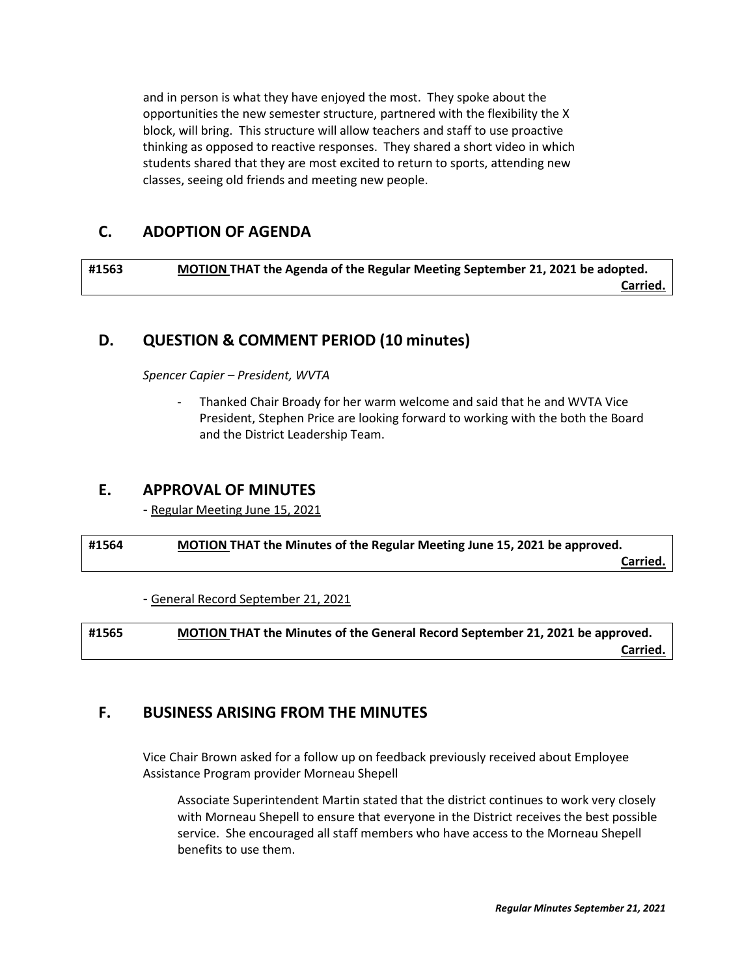and in person is what they have enjoyed the most. They spoke about the opportunities the new semester structure, partnered with the flexibility the X block, will bring. This structure will allow teachers and staff to use proactive thinking as opposed to reactive responses. They shared a short video in which students shared that they are most excited to return to sports, attending new classes, seeing old friends and meeting new people.

## **C. ADOPTION OF AGENDA**

**#1563 MOTION THAT the Agenda of the Regular Meeting September 21, 2021 be adopted. Carried.**

## **D. QUESTION & COMMENT PERIOD (10 minutes)**

*Spencer Capier – President, WVTA*

Thanked Chair Broady for her warm welcome and said that he and WVTA Vice President, Stephen Price are looking forward to working with the both the Board and the District Leadership Team.

### **E. APPROVAL OF MINUTES**

- Regular Meeting June 15, 2021

**#1564 MOTION THAT the Minutes of the Regular Meeting June 15, 2021 be approved. Carried.**

- General Record September 21, 2021

**#1565 MOTION THAT the Minutes of the General Record September 21, 2021 be approved. Carried.**

## **F. BUSINESS ARISING FROM THE MINUTES**

Vice Chair Brown asked for a follow up on feedback previously received about Employee Assistance Program provider Morneau Shepell

Associate Superintendent Martin stated that the district continues to work very closely with Morneau Shepell to ensure that everyone in the District receives the best possible service. She encouraged all staff members who have access to the Morneau Shepell benefits to use them.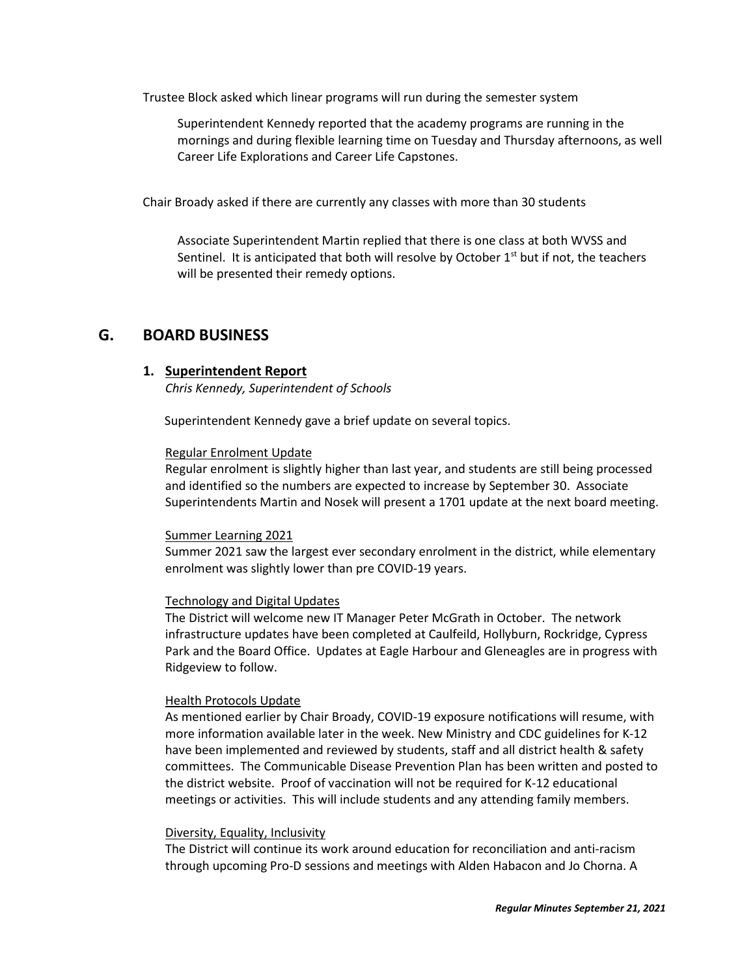Trustee Block asked which linear programs will run during the semester system

Superintendent Kennedy reported that the academy programs are running in the mornings and during flexible learning time on Tuesday and Thursday afternoons, as well Career Life Explorations and Career Life Capstones.

Chair Broady asked if there are currently any classes with more than 30 students

Associate Superintendent Martin replied that there is one class at both WVSS and Sentinel. It is anticipated that both will resolve by October  $1<sup>st</sup>$  but if not, the teachers will be presented their remedy options.

### **G. BOARD BUSINESS**

### **1. Superintendent Report**

*Chris Kennedy, Superintendent of Schools*

Superintendent Kennedy gave a brief update on several topics.

#### Regular Enrolment Update

Regular enrolment is slightly higher than last year, and students are still being processed and identified so the numbers are expected to increase by September 30. Associate Superintendents Martin and Nosek will present a 1701 update at the next board meeting.

### Summer Learning 2021

Summer 2021 saw the largest ever secondary enrolment in the district, while elementary enrolment was slightly lower than pre COVID-19 years.

### Technology and Digital Updates

The District will welcome new IT Manager Peter McGrath in October. The network infrastructure updates have been completed at Caulfeild, Hollyburn, Rockridge, Cypress Park and the Board Office. Updates at Eagle Harbour and Gleneagles are in progress with Ridgeview to follow.

#### Health Protocols Update

As mentioned earlier by Chair Broady, COVID-19 exposure notifications will resume, with more information available later in the week. New Ministry and CDC guidelines for K-12 have been implemented and reviewed by students, staff and all district health & safety committees. The Communicable Disease Prevention Plan has been written and posted to the district website. Proof of vaccination will not be required for K-12 educational meetings or activities. This will include students and any attending family members.

#### Diversity, Equality, Inclusivity

The District will continue its work around education for reconciliation and anti-racism through upcoming Pro-D sessions and meetings with Alden Habacon and Jo Chorna. A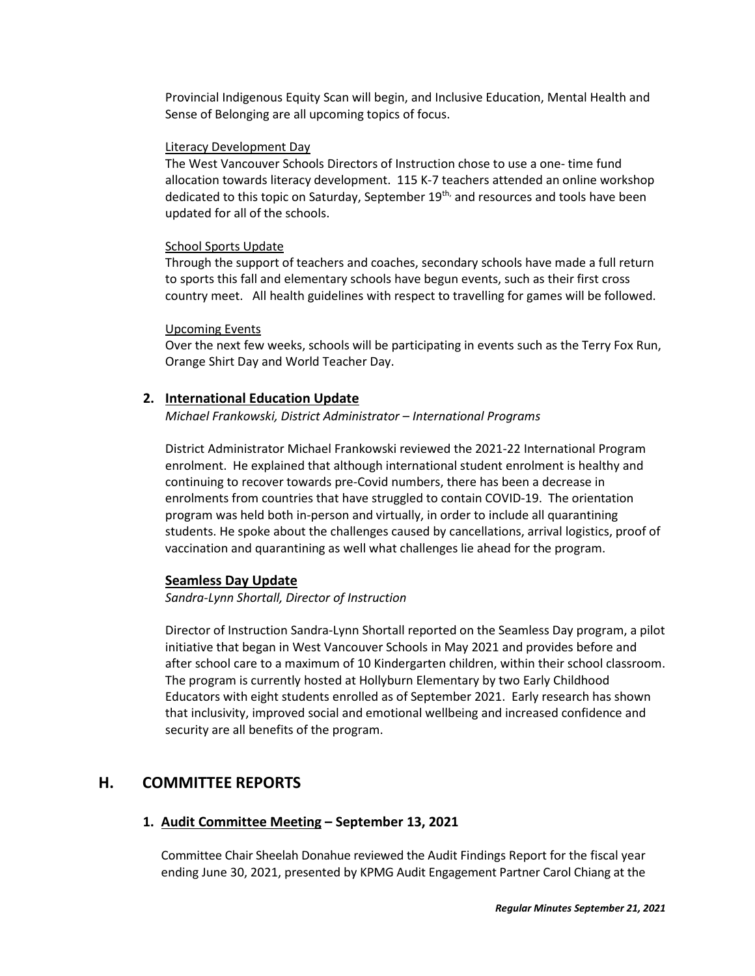Provincial Indigenous Equity Scan will begin, and Inclusive Education, Mental Health and Sense of Belonging are all upcoming topics of focus.

#### Literacy Development Day

The West Vancouver Schools Directors of Instruction chose to use a one- time fund allocation towards literacy development. 115 K-7 teachers attended an online workshop dedicated to this topic on Saturday, September 19<sup>th,</sup> and resources and tools have been updated for all of the schools.

#### School Sports Update

Through the support of teachers and coaches, secondary schools have made a full return to sports this fall and elementary schools have begun events, such as their first cross country meet. All health guidelines with respect to travelling for games will be followed.

#### Upcoming Events

Over the next few weeks, schools will be participating in events such as the Terry Fox Run, Orange Shirt Day and World Teacher Day.

#### **2. International Education Update**

*Michael Frankowski, District Administrator – International Programs*

District Administrator Michael Frankowski reviewed the 2021-22 International Program enrolment. He explained that although international student enrolment is healthy and continuing to recover towards pre-Covid numbers, there has been a decrease in enrolments from countries that have struggled to contain COVID-19. The orientation program was held both in-person and virtually, in order to include all quarantining students. He spoke about the challenges caused by cancellations, arrival logistics, proof of vaccination and quarantining as well what challenges lie ahead for the program.

#### **Seamless Day Update**

*Sandra-Lynn Shortall, Director of Instruction*

Director of Instruction Sandra-Lynn Shortall reported on the Seamless Day program, a pilot initiative that began in West Vancouver Schools in May 2021 and provides before and after school care to a maximum of 10 Kindergarten children, within their school classroom. The program is currently hosted at Hollyburn Elementary by two Early Childhood Educators with eight students enrolled as of September 2021. Early research has shown that inclusivity, improved social and emotional wellbeing and increased confidence and security are all benefits of the program.

### **H. COMMITTEE REPORTS**

### **1. Audit Committee Meeting – September 13, 2021**

Committee Chair Sheelah Donahue reviewed the Audit Findings Report for the fiscal year ending June 30, 2021, presented by KPMG Audit Engagement Partner Carol Chiang at the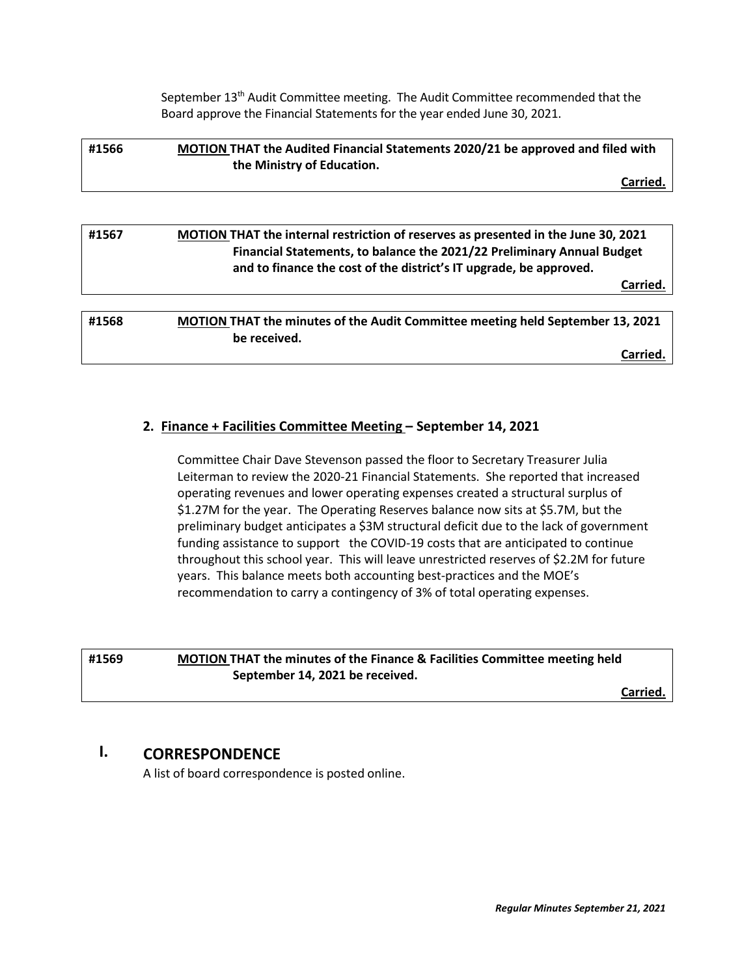September 13<sup>th</sup> Audit Committee meeting. The Audit Committee recommended that the Board approve the Financial Statements for the year ended June 30, 2021.

| #1566 | MOTION THAT the Audited Financial Statements 2020/21 be approved and filed with |  |
|-------|---------------------------------------------------------------------------------|--|
|       | the Ministry of Education.                                                      |  |
|       | Carried.                                                                        |  |

| #1567 | MOTION THAT the internal restriction of reserves as presented in the June 30, 2021<br>Financial Statements, to balance the 2021/22 Preliminary Annual Budget<br>and to finance the cost of the district's IT upgrade, be approved. |  |
|-------|------------------------------------------------------------------------------------------------------------------------------------------------------------------------------------------------------------------------------------|--|
|       | Carried                                                                                                                                                                                                                            |  |
|       |                                                                                                                                                                                                                                    |  |
| #1568 | <b>MOTION THAT the minutes of the Audit Committee meeting held September 13, 2021</b><br>be received.                                                                                                                              |  |
|       | Carried                                                                                                                                                                                                                            |  |

### **2. Finance + Facilities Committee Meeting – September 14, 2021**

Committee Chair Dave Stevenson passed the floor to Secretary Treasurer Julia Leiterman to review the 2020-21 Financial Statements. She reported that increased operating revenues and lower operating expenses created a structural surplus of \$1.27M for the year. The Operating Reserves balance now sits at \$5.7M, but the preliminary budget anticipates a \$3M structural deficit due to the lack of government funding assistance to support the COVID-19 costs that are anticipated to continue throughout this school year. This will leave unrestricted reserves of \$2.2M for future years. This balance meets both accounting best-practices and the MOE's recommendation to carry a contingency of 3% of total operating expenses.

## **#1569 MOTION THAT the minutes of the Finance & Facilities Committee meeting held September 14, 2021 be received.**

**Carried.**

# **I. CORRESPONDENCE**

A list of board correspondence is posted online.